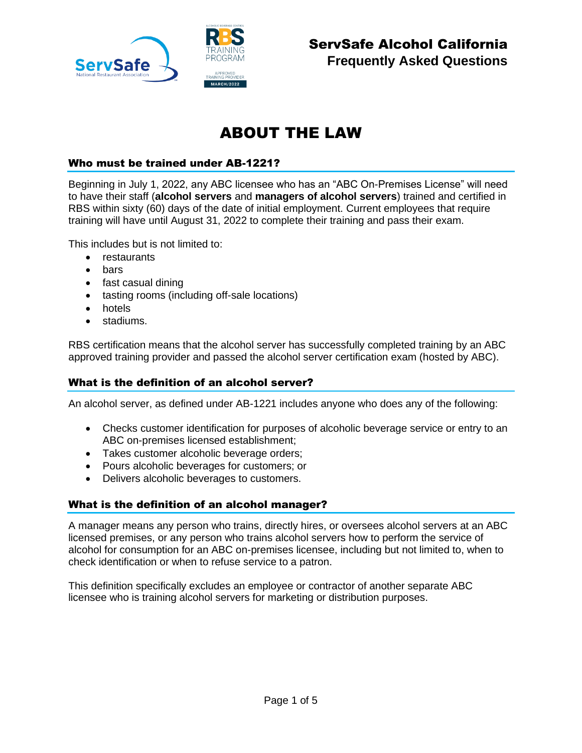

## ABOUT THE LAW

### Who must be trained under AB-1221?

Beginning in July 1, 2022, any ABC licensee who has an "ABC On-Premises License" will need to have their staff (**alcohol servers** and **managers of alcohol servers**) trained and certified in RBS within sixty (60) days of the date of initial employment. Current employees that require training will have until August 31, 2022 to complete their training and pass their exam.

This includes but is not limited to:

- restaurants
- bars
- fast casual dining
- tasting rooms (including off-sale locations)
- hotels
- stadiums.

RBS certification means that the alcohol server has successfully completed training by an ABC approved training provider and passed the alcohol server certification exam (hosted by ABC).

## What is the definition of an alcohol server?

An alcohol server, as defined under AB-1221 includes anyone who does any of the following:

- Checks customer identification for purposes of alcoholic beverage service or entry to an ABC on-premises licensed establishment;
- Takes customer alcoholic beverage orders;
- Pours alcoholic beverages for customers; or
- Delivers alcoholic beverages to customers.

## What is the definition of an alcohol manager?

A manager means any person who trains, directly hires, or oversees alcohol servers at an ABC licensed premises, or any person who trains alcohol servers how to perform the service of alcohol for consumption for an ABC on-premises licensee, including but not limited to, when to check identification or when to refuse service to a patron.

This definition specifically excludes an employee or contractor of another separate ABC licensee who is training alcohol servers for marketing or distribution purposes.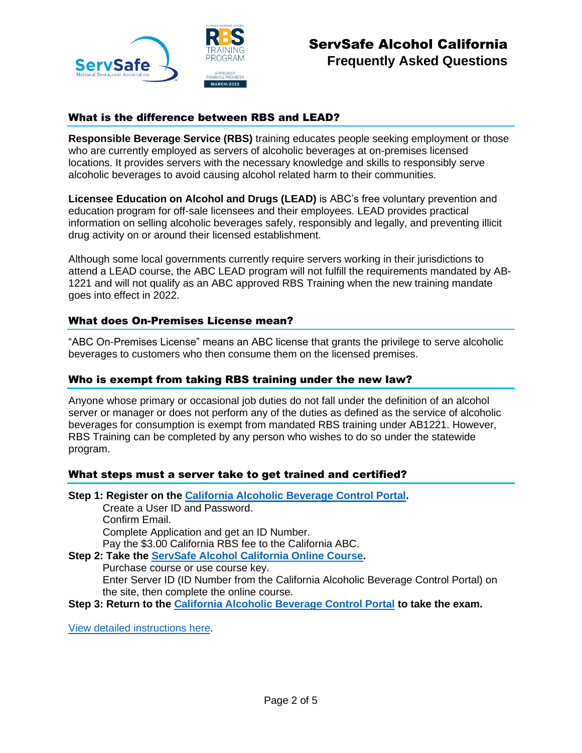

## ServSafe Alcohol California **Frequently Asked Questions**

## What is the difference between RBS and LEAD?

**Responsible Beverage Service (RBS)** training educates people seeking employment or those who are currently employed as servers of alcoholic beverages at on-premises licensed locations. It provides servers with the necessary knowledge and skills to responsibly serve alcoholic beverages to avoid causing alcohol related harm to their communities.

**Licensee Education on Alcohol and Drugs (LEAD)** is ABC's free voluntary prevention and education program for off-sale licensees and their employees. LEAD provides practical information on selling alcoholic beverages safely, responsibly and legally, and preventing illicit drug activity on or around their licensed establishment.

Although some local governments currently require servers working in their jurisdictions to attend a LEAD course, the ABC LEAD program will not fulfill the requirements mandated by AB-1221 and will not qualify as an ABC approved RBS Training when the new training mandate goes into effect in 2022.

#### What does On-Premises License mean?

"ABC On-Premises License" means an ABC license that grants the privilege to serve alcoholic beverages to customers who then consume them on the licensed premises.

#### Who is exempt from taking RBS training under the new law?

Anyone whose primary or occasional job duties do not fall under the definition of an alcohol server or manager or does not perform any of the duties as defined as the service of alcoholic beverages for consumption is exempt from mandated RBS training under AB1221. However, RBS Training can be completed by any person who wishes to do so under the statewide program.

#### What steps must a server take to get trained and certified?

**Step 1: Register on the [California Alcoholic Beverage Control Portal.](https://abcbiz.abc.ca.gov/)**

Create a User ID and Password. Confirm Email. Complete Application and get an ID Number. Pay the \$3.00 California RBS fee to the California ABC.

- **Step 2: Take the [ServSafe Alcohol California Online Course.](https://www.servsafe.com/access/ss/Catalog/ProductList/244)** Purchase course or use course key. Enter Server ID (ID Number from the California Alcoholic Beverage Control Portal) on the site, then complete the online course.
- **Step 3: Return to the [California Alcoholic Beverage Control Portal](https://abcbiz.abc.ca.gov/) to take the exam.**

[View detailed instructions here.](https://views.paperflite.com/assets/626be2d5fcf34123602225f7?utm_name=California%20Alcohol&utm_source=servsafe&utm_medium=faq)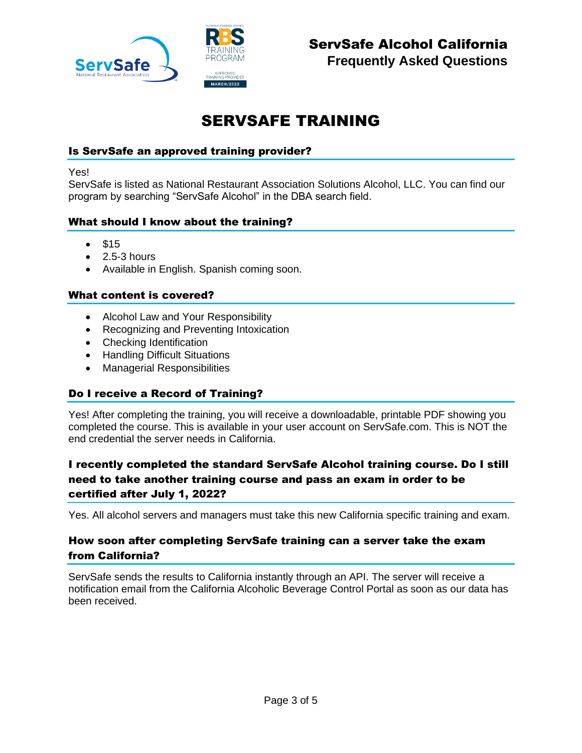

## SERVSAFE TRAINING

## Is ServSafe an approved training provider?

Yes!

ServSafe is listed as National Restaurant Association Solutions Alcohol, LLC. You can find our program by searching "ServSafe Alcohol" in the DBA search field.

#### What should I know about the training?

- \$15
- $\bullet$  2.5-3 hours
- Available in English. Spanish coming soon.

#### What content is covered?

- Alcohol Law and Your Responsibility
- Recognizing and Preventing Intoxication
- Checking Identification
- Handling Difficult Situations
- Managerial Responsibilities

#### Do I receive a Record of Training?

Yes! After completing the training, you will receive a downloadable, printable PDF showing you completed the course. This is available in your user account on ServSafe.com. This is NOT the end credential the server needs in California.

## I recently completed the standard ServSafe Alcohol training course. Do I still need to take another training course and pass an exam in order to be certified after July 1, 2022?

Yes. All alcohol servers and managers must take this new California specific training and exam.

## How soon after completing ServSafe training can a server take the exam from California?

ServSafe sends the results to California instantly through an API. The server will receive a notification email from the California Alcoholic Beverage Control Portal as soon as our data has been received.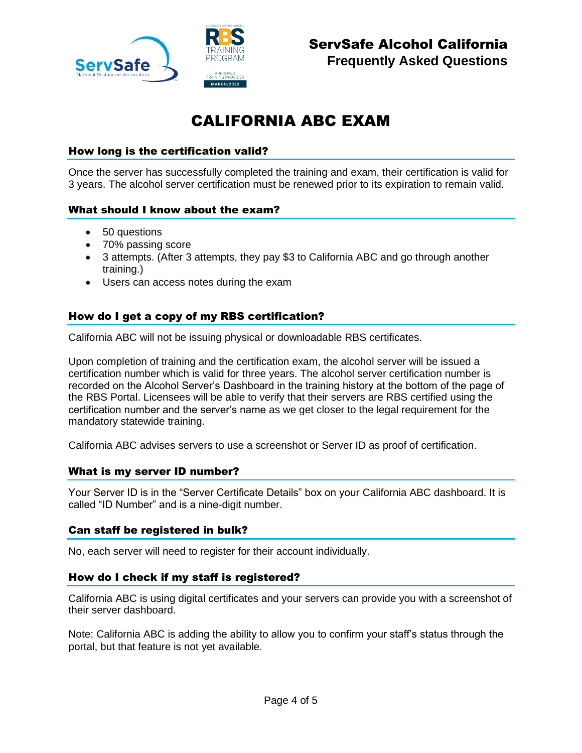

# CALIFORNIA ABC EXAM

## How long is the certification valid?

Once the server has successfully completed the training and exam, their certification is valid for 3 years. The alcohol server certification must be renewed prior to its expiration to remain valid.

#### What should I know about the exam?

- 50 questions
- 70% passing score
- 3 attempts. (After 3 attempts, they pay \$3 to California ABC and go through another training.)
- Users can access notes during the exam

## How do I get a copy of my RBS certification?

California ABC will not be issuing physical or downloadable RBS certificates.

Upon completion of training and the certification exam, the alcohol server will be issued a certification number which is valid for three years. The alcohol server certification number is recorded on the Alcohol Server's Dashboard in the training history at the bottom of the page of the RBS Portal. Licensees will be able to verify that their servers are RBS certified using the certification number and the server's name as we get closer to the legal requirement for the mandatory statewide training.

California ABC advises servers to use a screenshot or Server ID as proof of certification.

#### What is my server ID number?

Your Server ID is in the "Server Certificate Details" box on your California ABC dashboard. It is called "ID Number" and is a nine-digit number.

#### Can staff be registered in bulk?

No, each server will need to register for their account individually.

#### How do I check if my staff is registered?

California ABC is using digital certificates and your servers can provide you with a screenshot of their server dashboard.

Note: California ABC is adding the ability to allow you to confirm your staff's status through the portal, but that feature is not yet available.